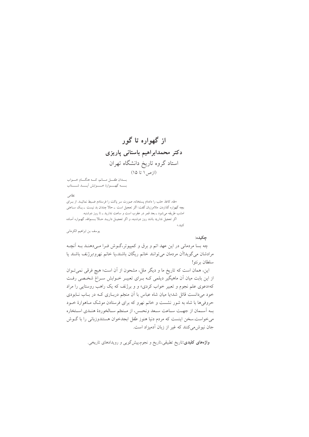# از گهواره تا گور دکتر محمدابراهیم باستانی پاریزی استاد گروه تاریخ دانشگاه تهران (ازص۱ تا ۱۵)

يسدان طفسل مسانير كسبه هنگسام خسواب بسمه كهسموارة خسموابش أيسمد شسستاب

#### نظامى

«طه، كاغذ حلب را دادهام پستخانه، صورت سر پاكت را فرستادم ضبط نمائيـد. از بــراي بچه گهواره گذاردن. ملامرزبان گفت: اگر تعجیل است ــ حالا چندان بد نیست ــ یـک ســاعتی امشب طریقه میشود ــ بعد قمر در عقرب است و ساعت ندارید ــ تا روز دوشنبه. اگر تعجیل ندارید باشد روز دوشنبه، و اگر تعجیـل داریــد حــالا بــسمالله، گهــواره آمــاده ى<br>كنىلى»

يوسف بن ابراهيم الكرماني

### حكىدە:

چه بسا مردمانی در این عهد اتم و برق و کمپیوتر،گـوش فـرا مـیدهنـد بـه آنچـه مرادشان می گوید!آن مردمان می توانند خانم ریگان باشند،یا خانم نهرو؛برژنف باشند یا سلطان برنئو!

این، همان است که تاریخ ما و دیگر ملل، مشحون از آن است؛ هیچ فرقی نمی تـوان از این بابت میان آن ماهیگیر دیلمی کـه بـرای تعبیـر خـوابش سـراغ شخـصی رفـت که«دعوی علم نجوم و تعبیر خواب کردی» و و برژنف که یک راهب روستایی را مراد خود میدانست قائل شد؛یا میان شاه عباس با اَن منجّم دربـاری کـه در بـاب نــابودی حروفیها با شاه به شور نشست و خانم نهرو که برای فرستادن موشک مـاهوارهٔ خــود بـه أسـمان از جهـت سـاعت سـعد ونحـس، از مـنجَم سـالخوردهٔ هنـدي اسـتخاره می خواست سخن اینست که مردم دنیا هنوز طفل ابجدخوان هستندوزبانی را با گـوش جان نیوش می کنند که غیر از زبان آدمیزاد است.

**واژههای کلیدی**:تاریخ تطبیقی،تاریخ و نجوم،پیشگویی و رویدادهای تاریخی.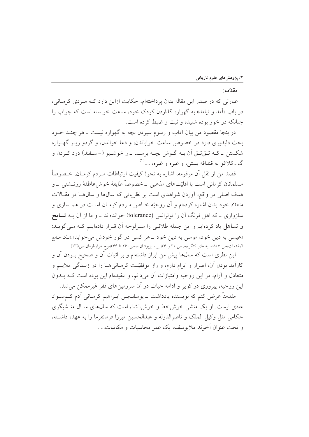مقدّمه:

عبارتی که در صدر این مقاله بدان پرداختهام، حکایت ازاین دارد کـه مـردی کرمـانی، در باب «آمد و نیامد» به گهواره گذاردن کودک خود، ساعت خواسته است که جواب را چنانکه در خور بوده شنیده و ثبت و ضبط کرده است.

دراینجا مقصود من بیان آداب و رسوم سیردن بچه به گهواره نیست ــ هر چنــد خــود بحث دلیذیری دارد در خصوص ساعت خواباندن، و دعا خواندن، و گردو زیـر گهـواره شکستن ۔کـه تــقتــق اَن بــه گــوش بچــه برســد ــ و خوشــبو (=اســفند) دود کــردن و گ...کلاغو به قنداقه بستن، و غیره و غیره، ....<sup>(۱)</sup>

قصد من از نقل آن مرقومه، اشاره به نحوهٔ کیفیت ارتباطات مـردم کرمـان، خــصوصاً مسلمانان کرمانی است با اقلیّتهای مذهبی \_خصوصاً طایفهٔ خوش عاطفهٔ زرتـشتی \_و هدف اصلی در واقع، آوردن شواهدی است بر نظریاتی که سالها و سالها در مقالات متعدّد خود بدان اشاره کردهام و آن روحیّه خـاص مـردم کرمـان اسـت در همـسازی و سازواری ــ که اهل فرنگ آن را تولرانس (tolerance) خواندهاند ــ و ما از آن بــه **تسامح** و تساهل یاد کردهایم و این جمله طلائمی را سـرلوحه آن قـرار دادهایـم کـه مـیگویـد: «عیسی به دین خود، موسی به دین خود ــ هر کسی در گور خودش می خوابد».(نک:جامع المقدمات،ص ۸۰۷سایه های کنگره،صص ۲۱ و ۳۶بپیر سبزپوشان،صص۲۶۰ تا ۳۶۶:نوح هزارطوفان،ص۱۳۵)

این نظری است که سال@ا پیش من ابراز داشتهام و بر اثبات آن و صحیح بــودن آن و کارآمد بودن آن، اصرار و ابرام دارم، و راز موفقیّت کرمـانی هــا را در زنــدگی ملایــم و متعادل و آرام، در این روحیه وامتیازات آن میدانم، و عقیدهام این بوده است کـه بــدون این روحیه، پیروزی در کویر و ادامه حیات در آن سرزمینهای قفر غیرممکن می شد.

مقدمتاً عرض کنم که نویسنده یادداشت \_ یوسفبـن ابـراهیم کرمـانی آدم کــمسـواد عادی نیست. او یک منشی خوش خط و خوش انشاء است که سالهای سـال منـشیگری حكامي مثل وكيل الملك و ناصرالدوله و عبدالحسين ميرزا فرمانفرما را به عهده داشته، و تحت عنوان آخوند ملايوسف، یک عمر محاسبات و مکاتبات... .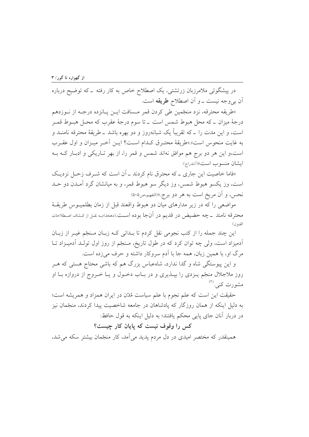در پیشگوئی ملامرزبان زرتشتی، یک اصطلاح خاص به کار رفته ــ که توضیح درباره اّن ب<sub>ی</sub>وجه نیست ــ و اّن اصطلاح **طریقه** است.

«طريقه محترقه، نزد منجّمين طي كردن قمر مـسافت ايـن پـانزده درجـه از نــوزدهم درجهٔ میزان ــ که محل هبوط شمس است ــ تا سوم درجهٔ عقرب که محـل هبــوط قمــر است، و این مدت را ــ که تقریباً یک شبانهروز و دو بهره باشد ــ طریقهٔ محترفه نامنــد و به غايت منحوس است».«طريقة محتـرق كـدام اسـت؟ ايـن آخـر ميـزان و اول عقـرب است،و این هر دو برج هم موافق نهاند شمس و قمر را، از بهر تـاریکی و ادبـار کــه بــه ایشان منسوب است»(آنندراج).

«فاما خاصیت این جاری ــ که محترق نام کردند ــ آن است که شــرف زحـل نزدیـک است، وز یکسو هېوط شمس، وز دیگر سو هېوط قمر، و به میانشان گرد آمـدن دو حـد نحس، و آن مريخ است به هر دو برج.»(التفهيم،ص٥٠٥)

مواضعي را كه در زير مدارهاي ميان دو هبوط واقعند قبل از زمان بطلميــوس طريقــهٔ محترقه نامند \_ چه حضيض در قديم در آنجا بوده است.(دهخدا؛بـه نقـل از كـشاف اصـطلاحات الفنون)

این چند جمله را از کتب نجومی نقل کردم تا بـدانی کـه زبـان مـنجّم غيـر از زبـان آدمیزاد است، ولی چه توان کرد که در طول تاریخ، مـنجّم از روز اول تولـد آدمیـزاد تـا مرگ او، با همین زبان، همه جا با آدم سروکار داشته و حرف میزده است.

و این پیوستگی شاه و گدا ندارد، شاهعباس بزرگ هم که باشی محتاج هستی که هـر روز ملاجلال منجّم یــزدی را بپــذیری و در بــاب دخــول و یــا خــروج از دروازه بــا او مشورت کنی (۲)

حقیقت این است که علم نجوم با علم سیاست مُدُن در ایران همزاد و همریشه است؛ به دلیل اینکه از همان روزگار که یادشاهان در جامعه شاخصیت پیدا کردند، منجّمان نیز در دربار آنان جاي پايي محكم يافتند؛ به دليل اينكه به قول حافظ:

## کس را وقوف نیست که پایان کار چیست؟

همینقدر که مختصر امیدی در دل مردم پدید می آمد، کار منجّمان بیشتر سکه می شد،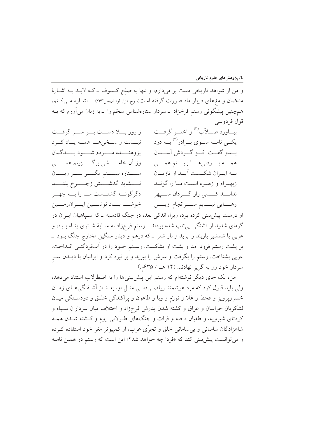و من از شواهد تاریخی دست بر میدارم، و تنها به صلح کسوف ـ کـه لابـد بـه اشـارهٔ منجّمان و مغهای دربار ماد صورت گرفته است(نـوح هزارطوفـان،ص٢۶۳) ــــ اشــاره مــی کــنم، همچنین پیشگوئی رستم فرخزاد \_سردار ستارهشناس منجّم را \_به زبان می آورم که بـه قول فردوسي:

بيــاورد صـــلأب<sup>(٣)</sup> و اختــر گرفــت ز روز بسلا دستت بسر سسر گرفت یکــی نامــه ســوي بــرادر<sup>(۴)</sup> بــه درد نبسشت وسمخن هسا همسه يساد كسرد پژوهنــــده مـــــردم شـــــود بــــدگمان بسدو گفــت: كــز گــردش آســـمان وز اَن خامــــــشي برگـــــزينم همــــــي همسه بسودني هسا ببيسنم همسي ســــتاره نبيــــنم مگــــر بــــر زيــــان بــه ايــران شكــست آيــد از تازيــان نسمشايد گذشمستن زچسمرخ بلنسمد زبهــرام و زهــره اســت مــا را گزنــد ندانــــد كــــسى راز گــــردان ســــپهر دگرگونــه گشتــست مــا را بــه چهــر خوشسا بساد نوشسين ايسرانزمسين رهــــايي نيــــابم ســــرانجام ازيـــــن او درست پیشبینی کرده بود، زیرا، اندکی بعد، در جنگ قادسیه ــ که سـپاهیان ایــران در گرمای شدید از تشنگی بیتاب شده بودند ــ رستم فرخزاد به سـایهٔ شـتری پنـاه بــرد، و عربي با شمشير باربند را بريد و بار شتر \_ كه درهم و دينار سنگين مخارج جنگ بــود \_ بر پشت رستم فرود آمد و پشت او بشکست. رسـتم خـود را در آببُردگئـی انــداخت. عربی بشناخت. رستم را بگرفت و سرش را ببرید و بر نیزه کرد و ایرانیان با دیــدن ســر سردار خود رو به گریز نهادند. (۱۴ هـ / ۴۳۵م.)

من، یک جای دیگر نوشتهام که رستم این پیش بینیها را به اصطرلاب استناد میدهد، ولی باید قبول کرد که مرد هوشمند ریاضی دانمی مثـل او، بعـد از آشـفتگی۵حـای زمـان خسرويوويز و قحط و غلا و تورَّم و وبا و طاعون و پراکندگی خلـق و دودسـتگی ميـان لشکریان خراسان و عراق و کشته شدن پدرش فرخزاد و اختلاف میان سرداران سـپاه و کودتای شیرویه، و طغیان دجله و فرات و جنگهای طـولانی روم و کـشته شـدن همـه شاهزادگان ساسانی و بی سامانی خلق و تجرّی عرب، از کمپیوتر مغز خود استفاده که ده و مي توانست پيش بيني كند كه «فردا چه خواهد شد؟» اين است كه رستم در همين نامـه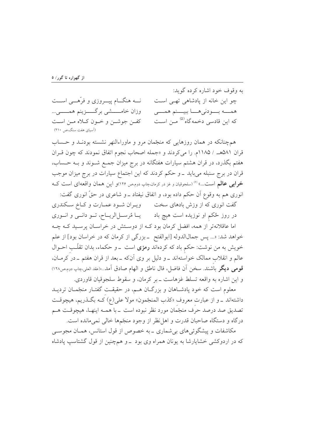به وقوف خود اشاره کرده گوید: نــه هنگـــام پيــــروزي و فرّهــــي اســـت چو این خانه از یادشاهی تھے است وزان خامــــــشى برگـــــزينم همــــــــى… همسه بسودني هسا ببيسنم همسني که این قادسی دخمه گاه<sup>(۵)</sup> مــٰ<sub>،</sub> اســت كفن جوشن وخون كلاه من است (آسیای هفت سنگ،ص ۲۱۰)

همچنانکه در همان روزهایی که منجّمان مرو و ماوراءالنهر نشسته بودنـد و حـساب قران ۵۸۱هـ / ۱۱۸۵م. را مي كردند و «جمله اصحاب نجوم اتفاق نمودند كه چون قـران هفتم بگذرد، در قران هشتم سیارات هفتگانه در برج میزان جمع شـوند و بـه حـساب، قرآن در برج سنبله میباید ــ و حکم کردند که این اجتماع سیارات در برج میزان موجب خرابی عالم است...» <sup>(۶)</sup> (سلجوقیان و غز در کرمان،چاپ دوم،ص ۱۲۶)و این همان واقعهای است کـه انوری هم به وقوع آن حکم داده بود، و اتفاق نیفتاد ـ و شاعری در حقّ انوری گفت:

گفت انوری که از وزش بادهای سخت ویـران شـود عمـارت و کـاخ سـکندری در روز ځکم او نوزیده است هیچ باد میل اثرسل الریساح، تسو دانسی و انسوری اما عاقلانهتر از همه، افضل کرمان بود کــه از دوســتش در خراســان پرسـيد کــه چــه خواهد شد: «... پس جمالالدوله [ابوالفتح ــ بزرگی از کرمان که در خراسان بود] از علم خویش به من نوشت: حکم باد که کردهاند **رمزی** است \_و حکماء، بدان تقلّـب احــوال عالم و انقلاب ممالک خواستهاند ـ و دلیل بر وی آنکه ـ بعد از قران هفتم ـ در کرمـان، قومي ديگر باشند. سخن أن فاضل، فال ناطق و الهام صادق أمد…»(عقد العلي،چاپ دوم،ص١٢٨) و اين اشاره به واقعه تسلط غزهاست ــ بر كرمان، و سقوط سلجوقيان قاوردي.

معلوم است که خود یادشـاهان و بزرگـان هـم، در حقیقـت گفتـار منجّمـان تردیــد داشتهاند <sub>–</sub> و از عبارت معروف «کذب المنجّمون» مولا على(ع) كــه بگــذريم، هيچوقــت تصديق صد درصد حرف منجّمان مورد نظر نبوده است \_با همـه اينهـا، هيچوقـت هـم درگاه و دستگاه صاحبان قدرت و اهل نظر از وجود منجّمها خالبی نمیمانده است.

مکاشفات و پیشگوئی های بی شماری ـ به خصوص از قول استانس، همـان مجوســی که در اردوکشی خشایارشا به یونان همراه وی بود ـ و همچنین از قول گشتاسپ یادشاه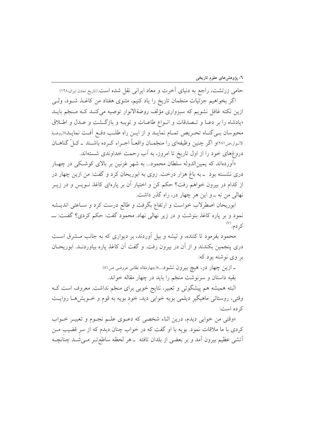حامی زرتشت، راجع به دنیای أخرت و معاد ایرانی نقل شده است.(تاریخ تمدن ایران،۱۲۸) اگر بخواهیم جزئیات منجّمان تاریخ را یاد کنیم، مثنوی هفتاد من کاغـذ شـود، ولـی ازین نکته غافل نشویم که سبزواری مؤلف روضةالانوار توصیه می کنـد کـه مـنجّم بایـد «پادشاه را بر دعـا و تـصدقات و انـواع طاعـات و توبـه و بازگـشت و عـدل و اطـلاق محبوسان بـي گنـاه تحـريص تمـام نمايـد و از ايـن راه طلـب دفـع أفـت نمايـد»(روضـة الانبوار،ص٢٨١)و اگر چنین وظیفهای را منجّمـان واقعـاً اجـراء کـرده باشــند ــ کــلّ گناهــان دروغهای خود را از اول تاریخ تا امروز، به آب رحمت خداوندی شستهاند.

«اَوردهاند که پمین|لدوله سلطان محمود… به شهر غزنین بر بالای کوشکی در چهـار دری نشسته بود \_به باغ هزار درخت. روی به ابوریحان کرد و گفت: من ازین چهار در از کدام در بیرون خواهم رفت؟ حکم کن و اختیار آن بر پارهای کاغذ نــویس و در زیــر نهالی من نه ـ و این هر چهار در، راه گذر داشت.

ابوریحان اصطرلاب خواست و ارتفاع بگرفت و طالع درست کرد و سـاعتی اندیــشه کردم. (۷)

محمود بفرمود تا کننده، و تیشه و بیل آوردند، بر دیواری که به جانب مــشرق اســت دری پنجمین بکندند و از آن در بیرون رفت. و گفت آن کاغذ پاره بیاوردنـد. ابوریحـان بر وي نوشته بود که:

> ـ ازین چهار در، هیچ بیرون نشود...»(چهارمقاله نظامی عروضی ص ۸۱) بقیه داستان و سرنوشت منجّم را باید در چهار مقاله خواند.

البته همیشه هم پیشگوئی و تعبیر، نتایج خوبی برای منجّم نداشت. معروف است ک وقتی، روستائی ماهیگیر دیلمی بویه خوابی دید، خود بویه به قوم و خــویش۵هــا روایــت ک ده است:

«وقتی من خوابی دیدم، درین اثناء شخصی که دعـوی علـم نجـوم و تعبیـر خـواب کردی با ما ملاقات نمود. بویه با او گفت که در خواب چنان دیدم که از سر قضیب مـن اّتشی عظیم بیرون آمد و بر بعضی از بلدان تافته \_هر لحظه ساطع تـر مـیشـد چنانچـه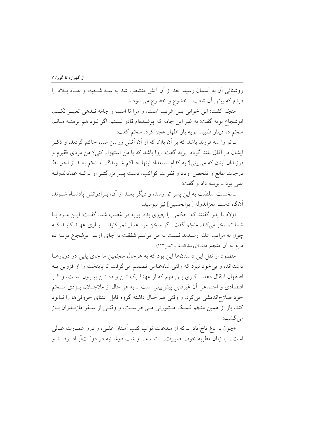روشنائی آن به آسمان رسید. بعد از آن آتش منشعب شد به ســه شــعبه، و عبــاد بــلاد را دیدم که پیش آن شعب ــ خشوع و خضوع می نمودند.

منجّم گفت: این خوابی بس غریب است، و مرا تا اسب و جامه نـدهی تعبیـر نکـنم. ابوشجاع بويه گفت: به غير اين جامه كه پوشيدهام قادر نيستم. اگر نبود هم برهنـه مـانم. منجّم ده دينار طلبيد. بويه باز اظهار عجز كرد. منجّم گفت:

ــ تو را سه فرزند باشد كه بر آن بلاد كه از آن آتش روشن شده حاكم گردند، و ذكـر ايشان در آفاق بلند گردد. بويه گفت: روا باشد كه با من استهزاء كني؟ من مردي فقيرم و فرزندان اينان كه مي بيني؟ به كدام استعداد اينها حـاكم شـوند؟... مـنجّم بعـد از احتيـاط درجات طالع و تفحص اوتاد و نظرات کواکب، دست پسر بزرگتـر او ـ کــه عمادالدولــه علي بود \_ بوسه داد و گفت:

ـ نخست سلطنت به اين پسر تو رسد، و ديگر بعـد از آن، بـرادرانش پادشـاه شــوند. أن گاه دست معزالدوله [ابوالحسين] نيز ببوسيد.

اولاد با پدر گفتند که: حکمی را چیزی بده. بویه در غضب شد، گفـت: ایــن مــرد بــا شما تمسخر می کند. منجّم گفت: اگر سخن مرا اعتبار نمی کنید \_باری عهـد کنیـد کـه چون به مراتب علیّه رسیدید نسبت به من مراسم شفقت به جای آرید. ابوشجاع بویــه ده درم به أن منجّم داد.»(روضة الصفاج۴مص۱۴۳)

مقصود از نقل این داستانها این بود که به هرحال منجّمین ما جای پایی در دربارهــا داشتهاند، و بی خود نبود که وقتی شاهعباس تصمیم می گرفت تا پایتخت را از قزوین بـه اصفهان انتقال دهد ــ کاری بس مهم که از عهدهٔ یک تــن و ده تــن بیــرون اســت، و اثــر اقتصادی و اجتماعی اَن غیرقابل پیش بینی است \_به هر حال از ملاجــلال پــزدی مــنجَم خود صلاحانديشي مي كرد. و وقتي هم خيال داشته گروه قابل اعتناي حروفي ها را نـابود کند، باز از همین منجّم کمک مـشورتی مـیخواسـت، و وقتـی از سـفر مازنـدران بـاز مے گشت:

«چون به باغ تاج اَباد \_كه از مبدعات نواب كلب اَستان علـي، و درو عمــارت عــالـي است... با زنان مطربه خوب صورت... نشسته... و شب دوشـنبه در دولـتآبـاد بودنــد و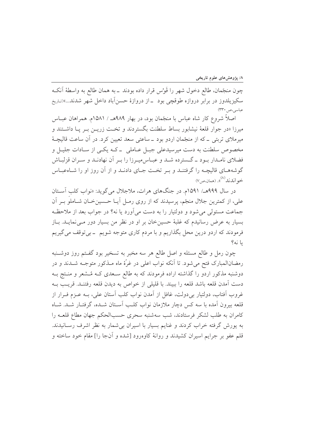چون منجَّمان، طالع دخول شهر را قَوْس قرار داده بودند \_به همان طالع به واسطهٔ أنکـه سکیزیلدوز در برابر دروازه طوقچی بود –از دروازهٔ حسنآباد داخل شهر شدند...»(تاریخ عباسي،ص ٣٣٠)

اصلاً شروع کار شاه عباس با منجّمان بود، در بهار ۹۸۹هـ / ۱۵۸۱م. همراهان عبــاس میرزا «در جوار قلعهٔ نیشابور بساط سلطنت بگستردند و تخـت زریــن بــر یــا داشــتند و میرملای تربتی ۔که از منجّمان اردو بود ۔ساعتی سعد تعیین کرد. در آن ساعت قالیچـهٔ مخصوص سلطنت به دست میرسیدعلی جبـل عـاملی \_ کـه یکـی از سـادات جليـل و فضلای نامـدار بـود ــ گــسترده شــد و عبــاس.ميـرزا را بـر آن نهادنــد و ســران قزلبــاش گوشههای قالیچـه را گرفتنـد و بـر تخـت جـای دادنـد و از آن روز او را شـاهعبـاس خو اندند<sup>(۸)</sup>». (همان،ص۷)

در سال ۹۹۹هـ/ ۱۵۹۱م. در جنگهای هرات، ملاجلال می گوید: «نواب کلب آسـتان علی، از کمترین جلال منجّم، پرسیدند که از روی رمـل آیــا حــسینخــان شــاملو بــر آن جماعت مستولی می شود و دولتیار را به دست می آورد یا نه؟ در جواب بعد از ملاحظـه بسیار به عرض رسانیدم که غلبهٔ حسینِ خان بر او در نظر من بسیار دور مـی نمایــد. بــاز فرمودند که اردو درین محل بگذاریم و با مردم کاری متوجه شویم \_بی توقف می گیریم يا نه؟

چون رمل و طالع مسئله و اصل طالع هر سه مخبر به تسخیر بود گفـتم روز دوشـنبه رمضانالمبارک فتح می شود. تا آنکه نواب اعلی در غرّهٔ ماه مـذکور متوجــه شــدند و در دوشنبه مذکور اردو را گذاشته اراده فرمودند که به طالع سـعدی کـه مُـشعر و منـتج بـه دست آمدن قلعه باشد قلعه را ببيند. با قليلي از خواص به ديدن قلعه رفتنـد. قريـب بــه غروب اّفتاب، دولتيار بي دولت، غافل از اّمدن نواب كلب اّستان علي، بــه عــزم فــرار از قلعه بیرون آمده با سه کس دچار ملازمان نواب کلـب آسـتان شــده، گرفتــار شــد. شــاه كامران به طلب لشكر فرستادند، شب سهشنبه سحرى حسبالحكم جهان مطاع قلعـه را به پورش گرفته خراب کردند و غنایم بسیار با اسیران بی شمار به نظر اشرف رسـانیدند. قلم عفو بر جرایم اسیران کشیدند و روانهٔ کاوهرود [شده و آنجا را] مقام خود ساخته و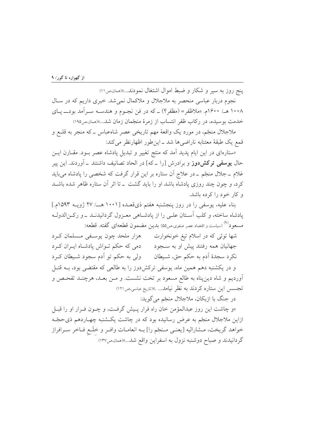ینج روز به سیر و شکار و ضبط اموال اشتغال نمودند...»(همان ص ١١)

نجوم دربار عباسی منحصر به ملاجلال و ملاکمال نمی شد. خبری داریم که در سـال ۱۰۰۸ هـ/ ۱۶۰۰م. «ملاظفر = (مظفر؟) \_ که در فن نجـوم و هندســه ســرآمد بودــــ يــاي خدمت بوسیده، در رکاب ظفر انتساب از زمرهٔ منجّمان زمان شد....»(همان صه۱۹۵)

ملاجلال منجّم، در مورد یک واقعهٔ مهم تاریخی عصر شاهعباس ــ که منجر به قلــع و قمع يک طبقة معتنابه ناراضي ها شد ـ اين طور اظهارنظر مي کند:

«ستارهای در این ایام پدید آمد که منتج تغییر و تبدیل پادشاه عصر بــود. مقــارن ایــن حال **یوسفی ترکش دوز** و برادرش [را ــ که] در الحاد تصانیف داشتند ــ آوردند. این پیر غلام ــ جلال منجّم ــ در علاج آن ستاره بر این قرار گرفت که شخصی را یادشاه می باید کرد، و چون چند روزی یادشاه باشد او را باید گشت \_ تا اثر آن ستاره ظاهر شده باشــد و کار خود را کرده باشد.

بناء علیه، یوسفی را در روز پنجشنبه هفتم ذیقعـده [۱۰۰۱ هــ/ ۲۷ ژویــه ۱۵۹۳م.] یادشاه ساخته، و کلب آستان علـی را از یادشـاهی معـزول گردانیدنـد ـ و رکـنالدولـه مسعود<sup>(۹)</sup> (سیاست و اقتصاد عصر صفوی،ص۵۵) بدین مضمون قطعهای گفته. قطعه:

شها توئی که در اسلام تیغ خونخوارت می هزار ملحد چون یوسفی مسلمان کرد جهانیان همه رفتند پیش او به سـجود دمی که حکم تــواش پادشــاه ایــران کــرد نکرد سجدهٔ اَدم به حکم حق، شـیطان ولی به حکم تو اَدم سجود شـیطان کـرد و در یکشنبه دهم همین ماه، پوسفی ترکشدوز را به طالعی که مقتضی بود، بــه قتــل آوردیم و شاه دین پناه به طالع مسعود بر تخت نشست. و مـن بعـد، هرچنــد تفحـص و تجسس این ستاره کردند به نظر نیامد... .»(تاریخ عباسی،ص١٢١)

در جنگ با ازبکان، ملاجلال منجّم مي گويد:

«و چاشت این روز عبدالمؤمن خان راه فرار پـیش گرفـت، و چـون فـرار او را قبـل ازاین ملاجلال منجّم به عرض رسانیده بود که در چاشت یکـشنبه چهـاردهم ذیحجّـه خواهد گريخت، مــشاراليه [يعنــي مــنجّم را] بــه انعامــات وافــر و خلَــع فــاخر ســرافراز گردانیدند و صباح دوشنبه نزول به اسفراین واقع شد...»(همان ص۱۳۷)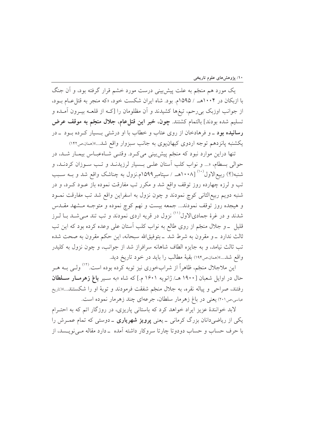یک مورد هم منجّم به علت پیش بینی درست مورد خشم قرار گرفته بود، و آن جنگ با ازبکان در ۱۰۰۴هـ / ۱۵۹۵م. بود. شاه ایران شکست خود، «که منجر به قتل عـام بـود، از جوانب اوزبک بی رحم، تیغها کشیدند و آن مظلومان را [کــه از قلعــه بیــرون آمــده و تسليم شده بودند] بالتمام كشتند. چون، خبر اين قتل عام، جلال منجّم به موقف عرض **رسانیده بود** ـ و فرهادخان از روی عتاب و خطاب با او درشت<sub>ی</sub> بـسیار کـرده بـود ـ در يكشنبه پانزدهم توجه اردوى كيهانپوي به جانب سبزوار واقع شد...»(همان ص١٤٢)

تنها دراین موارد نبود که منجّم پیش بینی میکرد. وقتـی شـاهعبـاس بیمـار شـد، در حوالی بسطام، «... و نواب کلب استان علـی بـسیار لرزیدنـد و تـب سـوزان کردنـد، و شنبه(؟) ربیع|لاول``` [۱۰۰۸هــ / سیتامبر ۱۵۹۹م.نزول به چناشک واقع شد و بــه ســبب تب و لرزه چهارده روز توقف واقع شد و مکرر تب مفارقت نموده باز عــود کــرد، و در شنبه دويم ربيع|لثاني كوچ نمودند و چون نزول به اسفراين واقع شد تب مفارقت نمـود و هیجده روز توقف نمودند... جمعه بیست و نهم کوچ نموده و متوجـه مــشهد مقــدس شدند و در غرهٔ جمادیالاول<sup>(۱۱)</sup> نزول در قریه اردی نمودند و تب تند مـی شــد بــا لــرز قلیل \_ و جلال منجّم از روی طالع به نواب کلب آستان علی وعده کرده بود که این تب ثالث ندارد \_و مقرون به شرط شد \_ بتوفيق!لله سبحانه، اين حكم مقرون به صحت شده تب ثالث نیامد، و به جایزه الطاف شاهانه سرافراز شد از جوانب، و چون نزول به کلیدر واقع شد...»(همان،ص۱۹۴) بقیهٔ مطالب را باید در خود تاریخ دید.

این ملاجلال منجّم، ظاهراً از شرابخوری نیز توبه کرده بوده است.<sup>(۱۲)</sup> ولـی بــه هــر حال در اوایل شعبان [۱۹۰۰ هـ/ ژانویه ۱۶۰۱ م.] که شاه «به سـیر **باغ زهرمــار ســلطان** رفتند، صراحی و پیاله نقره، به جلال منجّم شفقت فرمودند و توبهٔ او را شکستند...»(تاریخ عباسی،ص٢٠١) یعنی در باغ زهرمار سلطان، جرعهای چند زهرمار نموده است.

لابد خوانندهٔ عزیز ایراد خواهد کرد که باستانی پاریزی، در روزگار اتم که به احتـرام یکی از ریاضی دانان بزرگ کرمانی ــ یعنی **پرویز شهریاری** ــ دوستی که تمام عمـرش را با حرف حساب و حساب دودوتا چارتا سروکار داشته آمده \_دارد مقاله مـیiویــسد، از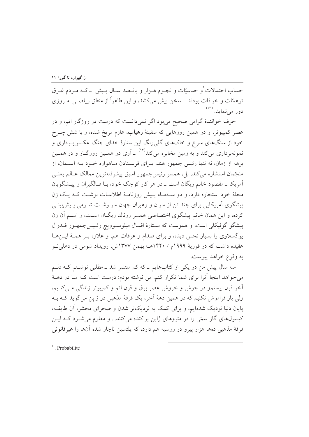حساب احتمالات ٰو حدسیّات و نجـوم هـزار و پانـصد سـال پـیش \_ کـه مـردم غـرق توهمّات و خرافات بودند ــ سخن پیش می کشد، و این ظاهراً از منطق ریاضــی امــروزی دور می نماید. (۱۳)

حرف خوانندهٔ گرامی صحیح میبود اگر نمیدانست که درست در روزگار اتم، و در عصر کمپیوتر، و در همین روزهایی که سفینهٔ **رهیاب**، عازم مریخ شده، و با شش چــرخ خود از سنگهای سرخ و خاکهای گلی٫رنگ این ستارهٔ خدای جنگ عکـسبرداری و نمونهبرداری میکند و به زمین مخابره میکند<sup>(۱۴)</sup> ـ آری در همـین روزگــار و در همــین برهه از زمان، نه تنها رئیس جمهور هند، ب ای فرستادن مباهواره خبود به آسیمان، از منجَّمان استشاره مي كند، بل، همسر رئيس جمهور اسبق پيشرفتهترين ممالک عــالم يعنــي آمریکا ۔مقصود خانم ریگان است ۔ در هر کار کوچک خود، بـا فـالگیران و پیــشگویان محلهٔ خود استخاره دارد، و دو سـهمـاه پـیش روزنامـهٔ اطلاعـات نوشـت کـه یـک زن پیشگوی آمریکایی برای چند تن از سران و رهبران جهان سرنوشت شـومی پـیش!بینـی کرده، و این همان خانم پیشگوی اختصاصی همسر رونالد ریگـان اسـت، و اسـم آن زن پیشگو گوئیکلی است، و هموست که سـتارهٔ اقبـال میلوسـوویچ رئـیس جمهـور فــدرال یوگسلاوی را بسیار نحس دیده، و برای صدام و عرفات هم، و علاوه بـر همـهٔ ایـنهـا عقیده داشت که در فوریهٔ ۱۹۹۹م / ۱۴۲۰هـ/ بهمن ۱۳۷۷ش، رویداد شومی در دهلی نو به وقوع خواهد پيوست.

سه سال پیش من در یکی از کتابهایم ــ که کم منتشر شد ــ مطلبی نوشــتم کــه دلــم می خواهد اینجا آنرا برای شما تکرار کنم. من نوشته بودم: درست است کـه مـا در دهــهٔ أخر قرن بيستمو در جوش و خروش عصر برق و قرن اتم و كمپيوتر زندگي مـي كنـيم، ولي باز فراموش نکنيم که در همين دههٔ آخر، يک فرقهٔ مذهبي در ژاين مي گويد کــه بــه پایان دنیا نزدیک شدهایم، و برای کمک به نزدیکتر شدن و صحرای محشر، آن طایف، کیسولِهای گاز سمّی را در متروهای ژاپن پراکنده میکنند... و معلوم می شـود کـه ایـن فرقهٔ مذهبی دهها هزار پیرو در روسیه هم دارد، که پلتسین ناچار شده آنها را غیرقانونی

 $<sup>1</sup>$ . Probabilité</sup>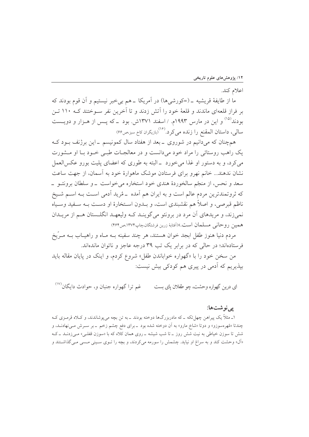اعلام كند.

ما از طايفهٔ قريشيه \_(=كورشيما) در اَمريكا \_هم بي خبر نيستيم و اَن قوم بودند كه بر فراز قلعهای ماندند و قلعهٔ خود را آتش زدند و تا آخرین نفر سـوختند کـه ۱۱۰ تـن بودند<sup>(۱۵)</sup> و این در مارس ۱۹۹۳م. / اسفند ۱۳۷۱ش. بود ــ که پــس از هــزار و دویــست سال<sub>ی</sub>، داستان المقنع را زنده میکرد.<sup>(۱۶)</sup>(بازیگران کاخ سبز،ص۶۶)

همچنان که میدانیم در شوروی ـ بعد از هفتاد سال کمونیسم ـ این برژنف بــود کــه یک راهب روستائی را مراد خود میدانست و در معالجـات طبـی خـود بـا او مـشورت می کرد، و به دستور او غذا می خورد \_البته به طوری که اعضای پلیت بورو عکسالعمل نشان ندهند... خانم نهرو برای فرستادن موشک ماهوارهٔ خود به آسمان، از جهت ساعت سعد و نحس، از منجّم سالخوردهٔ هندی خود استخاره می خواست \_و سلطان برونئـو \_ که ثروتمندترین مردم عالم است و به ایران هم آمده \_مُرید آدمی اسـت بــه اســم شــیخ ناظم قبرصي، و اصلاً هم نقشبندي است، و بــدون اســتخارهٔ او دســت بــه ســفيد وســياه نمیزند، و مریدهای آن مرد در برونئو میگوینـد کـه ولیعهـد انگلـستان هـم از مریــدان همین روحانی مسلمان است.»(أفتابهٔ زرین فرشتگان،چاپ۱۳۷۴،ص۱۶۶)

مردم دنیا هنوز طفل ابجد خوان هستند، هر چند سفینه بــه مــاه و راهیــاب بــه مــرَّیخ فرستادهاند؛ در حالی که در برابر یک تب ۳۹ درجه عاجز و ناتوان ماندهاند.

من سخن خود را با «گهواره خواباندن طفل» شروع کردم، و اینک در پایان مقاله باید بیذیریم که آدمی در پیری هم کودکی بیش نیست:

غم ترا گهواره جنبان و، حوادث دایگان<sup>(۱۷)</sup> ای درین گهواره وحشت، چو طفلان پای ست

#### يے نوشتها:

۱ــ مثلاً یک پیراهن چهل تکه ــ که مادربزرگها دوخته بودند ــ به تن بچه می پوشاندند، و کــلاه قرمــزی کــه چندتا «مُهرهسوزو» و دوتا «شاخ مارو» به اّن دوخته شده بود \_برای دفع چشم زخم \_بر سـرش مـیiهادنــد، و شش تا سوزن خیاطی به نیت شش روز ـ تا شب شیشه ـ روی همان کلاه که با «سوزن قفلـی» مـیزدنــد ـ کـه «اَل» وحشت کند و به سراغ او نیاید. چشمش را سورمه میکردند، و بچه را تــوی ســینی مــسی مـیگذاشــتند و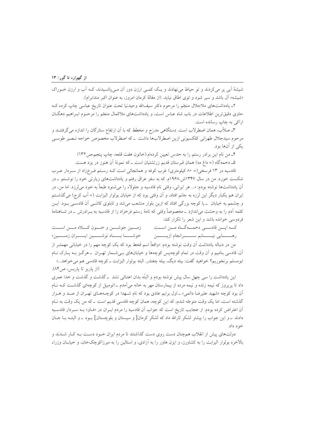شیشهٔ آبی پر میکردند و تو حیاط می نهادند و یک کمبی ارزن دور آن مبی پاشیدند، کـه آب و ارزن خـوراک «شیشه» آل باشد و سیر شود و توی اطاق نیاید. (از مقالهٔ کرمان امروز، به عنوان اکبر مندابرام).

۲\_ یادداشتهای ملاجلال منجّم را مرحوم دکتر سیفالله وحیدنیا تحت عنوان تاریخ عباسی چاپ کرده ک حاوی دقیق ترین اطلاعات در باب شاه عباس است، و یادداشتهای ملاکمال منجّم را مرحـوم ابـراهیم دهگـان اراکی به چاپ رسانده است.

۳ـ صلاّب، همان اصطرلاب است. دستگاهی مدرَج و مخطط که با اَن ارتفاع ستارگان را اندازه میگرفتنــد و مرحوم سیدجلال طهرانی کلکسیونی ازین اصطرلابها داشت \_که اصطرلاب مخصوص خواجه نـصیر طوسـی یکی از آنها بود.

۴ـ من نام اين برادر رستم را به حدس تعيين كردهام.(خاتون هفت قلعه، چاپ ينجم،ص١٣٢)

۵ـ دخمه گاه (= داغ مه) همان قبرستان قدیم زر تشتیان است ــ که نمونهٔ آن هنوز در یزد هست.

قادسیه در ۱۳ فرسخی(= ۸۰ کیلومتری) غرب کوفه و همانجائی است کـه رسـتم فـرخزاد از سـردار عـرب شکست خورد. من در سال ۱۳۴۷ش.۱۹۶۸م. که به سفر عراق رفتم و یادداشتهای زیارتی خود را نوشتم ــ در آن یادداشتها نوشته بودم: «... هر ایرانی، وقتی نام قادسیه و جلولاء را می شنود طبعاً به خود می[رزد. اما من، در ایران هم یکبار دیگر این لرزه به جانم افتاد، و آن وقتی بود که از خیابان بولوار الیزابت (= آب کرج) میگذشتم و چشمم به خیابان ٍ \_ یا کوچه بزرگی افتاد که ازین بلوار منشعب می شد و تابلوی کاشـی آن قادسـی بـود. ایــن کلمه اَدم را به وحشت می|ندازد ــ مخصوصاً وقتی که نامهٔ رستم فرخزاد را از قادسیه به بــرادرش ــ در شــاهنامهٔ فردوسی خوانده باشد و این شعر را تکرار کند:

كه ايسن قادسي دخمسه گساه مسن اسست زمـــين جوشــــن و خـــون كــــلاه مــــن اســـت خوشـــا بـــاد نوشــــين ايــــران زمــــين» رهــــــــــايي نيـــــــــابم ســــــــــرانجام ازيــــــــــن من در دنباله یادداشت آن وقت نوشته بودم: «واقعاً اسم قحط بود که یک کوچه مهم را در خیابانی مهمتــر از آن، قادسی بنامیم و اَن وقت در تمام کوچەپس کوچەها و خیابانهای بے شــمار تهـران ــ هرگـز بــه پــارک نــام ابومسلم برنخوریم؟ خواهید گفت: بیله دیگ، بیله چغندر. البته بولوار الیزابت ــ کوچه قادسی هم می خواهد...» (از ياريز تا ياريس، ص١٨۴).

این یادداشت را سی چهل سال پیش نوشته بودم و البتّه بدان اعتنائی نشد \_ گذشت و گذشت و خدا عمری داد تا پریروز که نیمه زنده و نیمه مرده از بیمارستان مهر به خانه میآمدم ـ اتومبیل از کوچهای گذشـت کـه نــام اّن بود کوچه «شهید علیرضا دائمی» ـ اول برایم عادی بود که نام شـهدا در کوچـههـای تهـران از صـد و هـزار گذشته است، اما یک وقت متوجّه شدم، که این کوچه، همان کوچه قادسی قدیم است ـ که من یک وقت به نـام اّن اعتراض کرده بودم. از عجایب تاریخ است که جواب اَن قادسیه را مردم ایـران در «فـاو» بـه سـردار قادسـیه دادند \_ و این جواب را بیشتر لشکر ثارالله داد که لشکر کرمان[و سیستان و بلوچستان] بـود \_ و البتـه بــا جــان خود داد.

دولتهای پیش از انقلاب همچنان دست روی دست گذاشتند تا مردم ایران خـود دسـت بـه کـار شــدند و بالاخره بولوار الیزابت را به کشاورز، و ایزن هاور را به آزادی، و استالین را به میرزاکوچکخان، و خیابـان وزراء